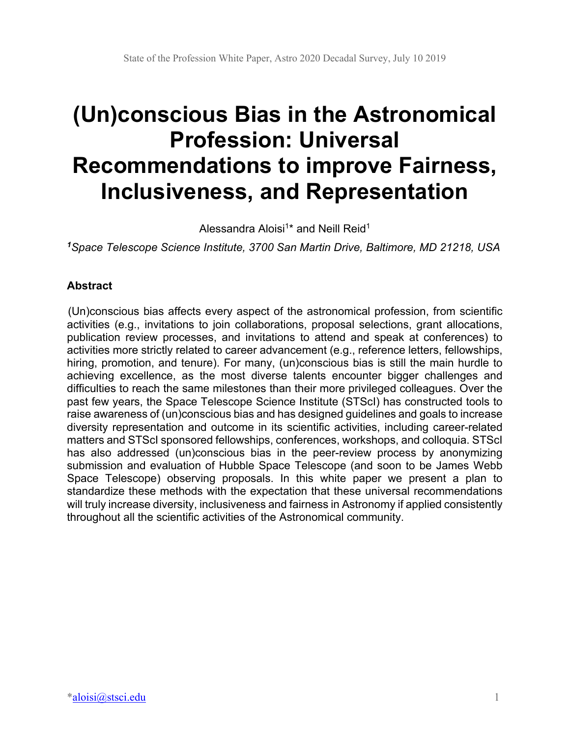# **(Un)conscious Bias in the Astronomical Profession: Universal Recommendations to improve Fairness, Inclusiveness, and Representation**

Alessandra Aloisi<sup>1\*</sup> and Neill Reid<sup>1</sup>

*<sup>1</sup>Space Telescope Science Institute, 3700 San Martin Drive, Baltimore, MD 21218, USA*

## **Abstract**

(Un)conscious bias affects every aspect of the astronomical profession, from scientific activities (e.g., invitations to join collaborations, proposal selections, grant allocations, publication review processes, and invitations to attend and speak at conferences) to activities more strictly related to career advancement (e.g., reference letters, fellowships, hiring, promotion, and tenure). For many, (un)conscious bias is still the main hurdle to achieving excellence, as the most diverse talents encounter bigger challenges and difficulties to reach the same milestones than their more privileged colleagues. Over the past few years, the Space Telescope Science Institute (STScI) has constructed tools to raise awareness of (un)conscious bias and has designed guidelines and goals to increase diversity representation and outcome in its scientific activities, including career-related matters and STScI sponsored fellowships, conferences, workshops, and colloquia. STScI has also addressed (un)conscious bias in the peer-review process by anonymizing submission and evaluation of Hubble Space Telescope (and soon to be James Webb Space Telescope) observing proposals. In this white paper we present a plan to standardize these methods with the expectation that these universal recommendations will truly increase diversity, inclusiveness and fairness in Astronomy if applied consistently throughout all the scientific activities of the Astronomical community.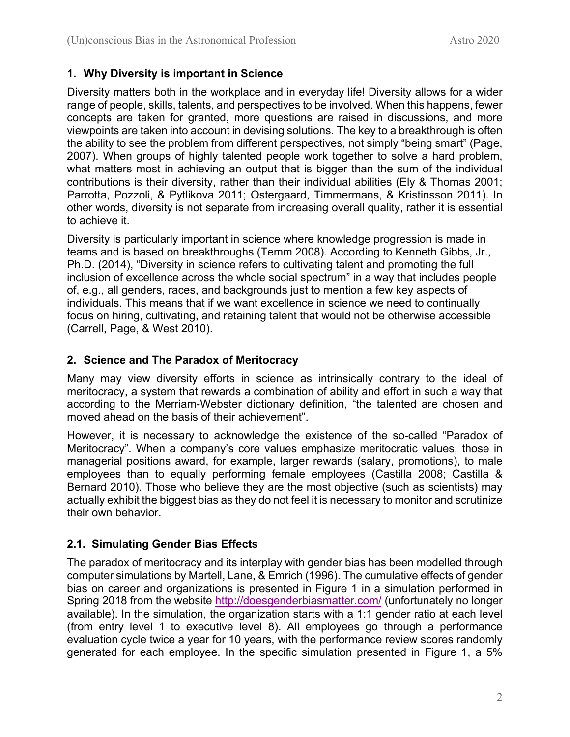## **1. Why Diversity is important in Science**

Diversity matters both in the workplace and in everyday life! Diversity allows for a wider range of people, skills, talents, and perspectives to be involved. When this happens, fewer concepts are taken for granted, more questions are raised in discussions, and more viewpoints are taken into account in devising solutions. The key to a breakthrough is often the ability to see the problem from different perspectives, not simply "being smart" (Page, 2007). When groups of highly talented people work together to solve a hard problem, what matters most in achieving an output that is bigger than the sum of the individual contributions is their diversity, rather than their individual abilities (Ely & Thomas 2001; Parrotta, Pozzoli, & Pytlikova 2011; Ostergaard, Timmermans, & Kristinsson 2011). In other words, diversity is not separate from increasing overall quality, rather it is essential to achieve it.

Diversity is particularly important in science where knowledge progression is made in teams and is based on breakthroughs (Temm 2008). According to Kenneth Gibbs, Jr., Ph.D. (2014), "Diversity in science refers to cultivating talent and promoting the full inclusion of excellence across the whole social spectrum" in a way that includes people of, e.g., all genders, races, and backgrounds just to mention a few key aspects of individuals. This means that if we want excellence in science we need to continually focus on hiring, cultivating, and retaining talent that would not be otherwise accessible (Carrell, Page, & West 2010).

## **2. Science and The Paradox of Meritocracy**

Many may view diversity efforts in science as intrinsically contrary to the ideal of meritocracy, a system that rewards a combination of ability and effort in such a way that according to the Merriam-Webster dictionary definition, "the talented are chosen and moved ahead on the basis of their achievement".

However, it is necessary to acknowledge the existence of the so-called "Paradox of Meritocracy". When a company's core values emphasize meritocratic values, those in managerial positions award, for example, larger rewards (salary, promotions), to male employees than to equally performing female employees (Castilla 2008; Castilla & Bernard 2010). Those who believe they are the most objective (such as scientists) may actually exhibit the biggest bias as they do not feel it is necessary to monitor and scrutinize their own behavior.

## **2.1. Simulating Gender Bias Effects**

The paradox of meritocracy and its interplay with gender bias has been modelled through computer simulations by Martell, Lane, & Emrich (1996). The cumulative effects of gender bias on career and organizations is presented in Figure 1 in a simulation performed in Spring 2018 from the website http://doesgenderbiasmatter.com/ (unfortunately no longer available). In the simulation, the organization starts with a 1:1 gender ratio at each level (from entry level 1 to executive level 8). All employees go through a performance evaluation cycle twice a year for 10 years, with the performance review scores randomly generated for each employee. In the specific simulation presented in Figure 1, a 5%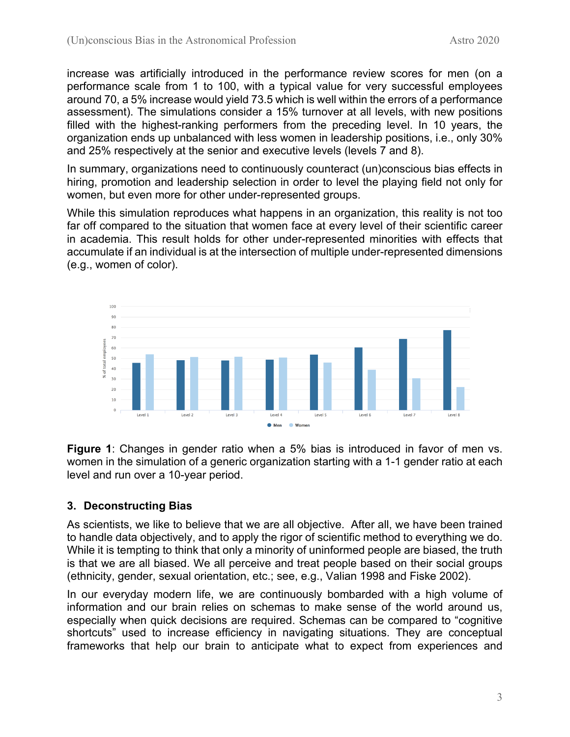increase was artificially introduced in the performance review scores for men (on a performance scale from 1 to 100, with a typical value for very successful employees around 70, a 5% increase would yield 73.5 which is well within the errors of a performance assessment). The simulations consider a 15% turnover at all levels, with new positions filled with the highest-ranking performers from the preceding level. In 10 years, the organization ends up unbalanced with less women in leadership positions, i.e., only 30% and 25% respectively at the senior and executive levels (levels 7 and 8).

In summary, organizations need to continuously counteract (un)conscious bias effects in hiring, promotion and leadership selection in order to level the playing field not only for women, but even more for other under-represented groups.

While this simulation reproduces what happens in an organization, this reality is not too far off compared to the situation that women face at every level of their scientific career in academia. This result holds for other under-represented minorities with effects that accumulate if an individual is at the intersection of multiple under-represented dimensions (e.g., women of color).



**Figure 1**: Changes in gender ratio when a 5% bias is introduced in favor of men vs. women in the simulation of a generic organization starting with a 1-1 gender ratio at each level and run over a 10-year period.

## **3. Deconstructing Bias**

As scientists, we like to believe that we are all objective. After all, we have been trained to handle data objectively, and to apply the rigor of scientific method to everything we do. While it is tempting to think that only a minority of uninformed people are biased, the truth is that we are all biased. We all perceive and treat people based on their social groups (ethnicity, gender, sexual orientation, etc.; see, e.g., Valian 1998 and Fiske 2002).

In our everyday modern life, we are continuously bombarded with a high volume of information and our brain relies on schemas to make sense of the world around us, especially when quick decisions are required. Schemas can be compared to "cognitive shortcuts" used to increase efficiency in navigating situations. They are conceptual frameworks that help our brain to anticipate what to expect from experiences and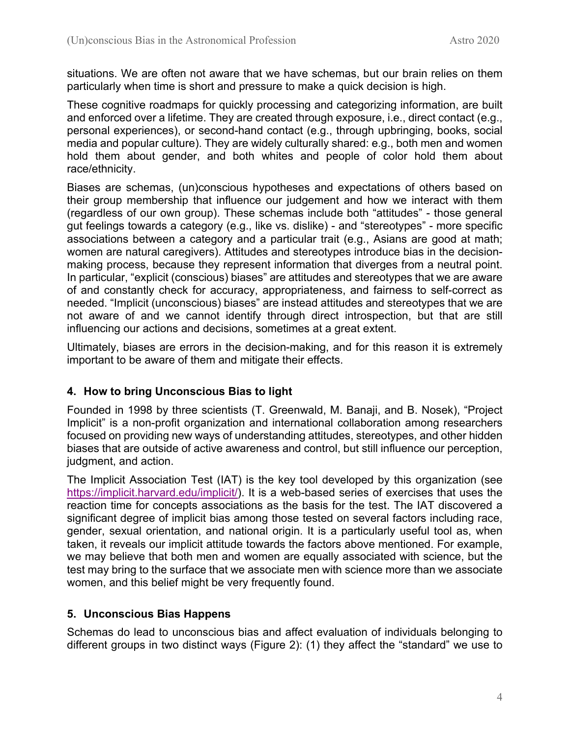situations. We are often not aware that we have schemas, but our brain relies on them particularly when time is short and pressure to make a quick decision is high.

These cognitive roadmaps for quickly processing and categorizing information, are built and enforced over a lifetime. They are created through exposure, i.e., direct contact (e.g., personal experiences), or second-hand contact (e.g., through upbringing, books, social media and popular culture). They are widely culturally shared: e.g., both men and women hold them about gender, and both whites and people of color hold them about race/ethnicity.

Biases are schemas, (un)conscious hypotheses and expectations of others based on their group membership that influence our judgement and how we interact with them (regardless of our own group). These schemas include both "attitudes" - those general gut feelings towards a category (e.g., like vs. dislike) - and "stereotypes" - more specific associations between a category and a particular trait (e.g., Asians are good at math; women are natural caregivers). Attitudes and stereotypes introduce bias in the decisionmaking process, because they represent information that diverges from a neutral point. In particular, "explicit (conscious) biases" are attitudes and stereotypes that we are aware of and constantly check for accuracy, appropriateness, and fairness to self-correct as needed. "Implicit (unconscious) biases" are instead attitudes and stereotypes that we are not aware of and we cannot identify through direct introspection, but that are still influencing our actions and decisions, sometimes at a great extent.

Ultimately, biases are errors in the decision-making, and for this reason it is extremely important to be aware of them and mitigate their effects.

## **4. How to bring Unconscious Bias to light**

Founded in 1998 by three scientists (T. Greenwald, M. Banaji, and B. Nosek), "Project Implicit" is a non-profit organization and international collaboration among researchers focused on providing new ways of understanding attitudes, stereotypes, and other hidden biases that are outside of active awareness and control, but still influence our perception, judgment, and action.

The Implicit Association Test (IAT) is the key tool developed by this organization (see https://implicit.harvard.edu/implicit/). It is a web-based series of exercises that uses the reaction time for concepts associations as the basis for the test. The IAT discovered a significant degree of implicit bias among those tested on several factors including race, gender, sexual orientation, and national origin. It is a particularly useful tool as, when taken, it reveals our implicit attitude towards the factors above mentioned. For example, we may believe that both men and women are equally associated with science, but the test may bring to the surface that we associate men with science more than we associate women, and this belief might be very frequently found.

## **5. Unconscious Bias Happens**

Schemas do lead to unconscious bias and affect evaluation of individuals belonging to different groups in two distinct ways (Figure 2): (1) they affect the "standard" we use to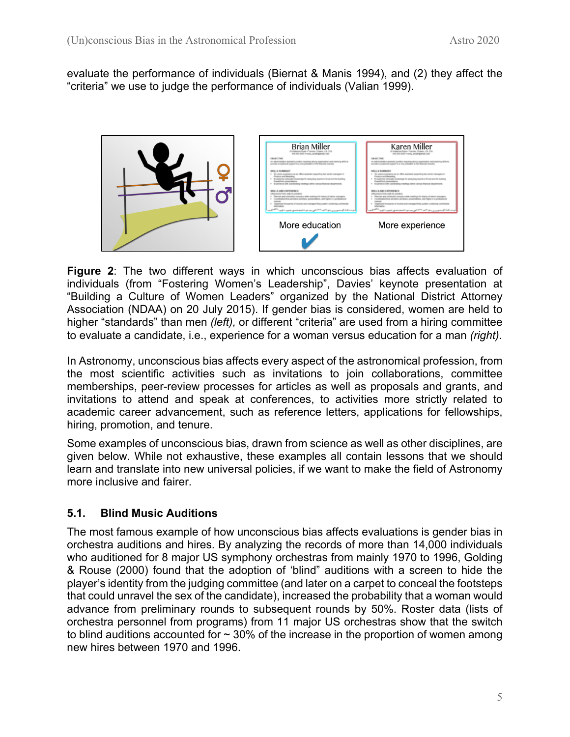evaluate the performance of individuals (Biernat & Manis 1994), and (2) they affect the "criteria" we use to judge the performance of individuals (Valian 1999).



**Figure 2**: The two different ways in which unconscious bias affects evaluation of individuals (from "Fostering Women's Leadership", Davies' keynote presentation at "Building a Culture of Women Leaders" organized by the National District Attorney Association (NDAA) on 20 July 2015). If gender bias is considered, women are held to higher "standards" than men *(left),* or different "criteria" are used from a hiring committee to evaluate a candidate, i.e., experience for a woman versus education for a man *(right)*.

In Astronomy, unconscious bias affects every aspect of the astronomical profession, from the most scientific activities such as invitations to join collaborations, committee memberships, peer-review processes for articles as well as proposals and grants, and invitations to attend and speak at conferences, to activities more strictly related to academic career advancement, such as reference letters, applications for fellowships, hiring, promotion, and tenure.

Some examples of unconscious bias, drawn from science as well as other disciplines, are given below. While not exhaustive, these examples all contain lessons that we should learn and translate into new universal policies, if we want to make the field of Astronomy more inclusive and fairer.

## **5.1. Blind Music Auditions**

The most famous example of how unconscious bias affects evaluations is gender bias in orchestra auditions and hires. By analyzing the records of more than 14,000 individuals who auditioned for 8 major US symphony orchestras from mainly 1970 to 1996, Golding & Rouse (2000) found that the adoption of 'blind" auditions with a screen to hide the player's identity from the judging committee (and later on a carpet to conceal the footsteps that could unravel the sex of the candidate), increased the probability that a woman would advance from preliminary rounds to subsequent rounds by 50%. Roster data (lists of orchestra personnel from programs) from 11 major US orchestras show that the switch to blind auditions accounted for  $\sim$  30% of the increase in the proportion of women among new hires between 1970 and 1996.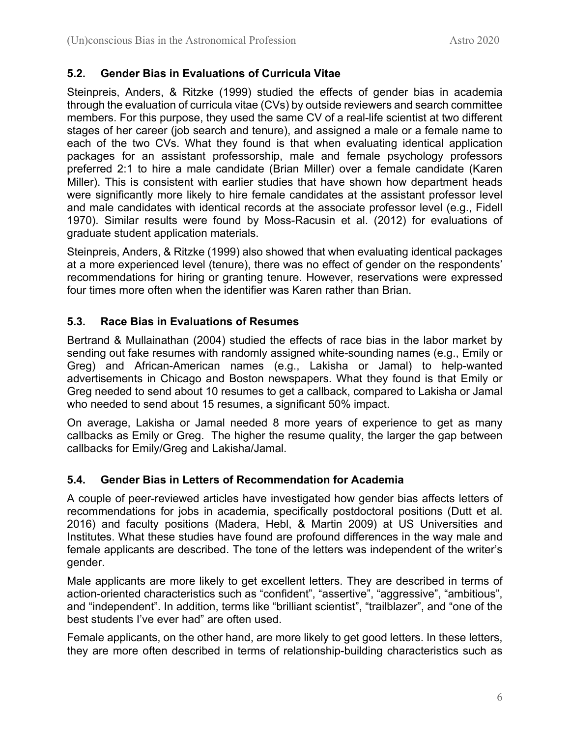#### **5.2. Gender Bias in Evaluations of Curricula Vitae**

Steinpreis, Anders, & Ritzke (1999) studied the effects of gender bias in academia through the evaluation of curricula vitae (CVs) by outside reviewers and search committee members. For this purpose, they used the same CV of a real-life scientist at two different stages of her career (job search and tenure), and assigned a male or a female name to each of the two CVs. What they found is that when evaluating identical application packages for an assistant professorship, male and female psychology professors preferred 2:1 to hire a male candidate (Brian Miller) over a female candidate (Karen Miller). This is consistent with earlier studies that have shown how department heads were significantly more likely to hire female candidates at the assistant professor level and male candidates with identical records at the associate professor level (e.g., Fidell 1970). Similar results were found by Moss-Racusin et al. (2012) for evaluations of graduate student application materials.

Steinpreis, Anders, & Ritzke (1999) also showed that when evaluating identical packages at a more experienced level (tenure), there was no effect of gender on the respondents' recommendations for hiring or granting tenure. However, reservations were expressed four times more often when the identifier was Karen rather than Brian.

#### **5.3. Race Bias in Evaluations of Resumes**

Bertrand & Mullainathan (2004) studied the effects of race bias in the labor market by sending out fake resumes with randomly assigned white-sounding names (e.g., Emily or Greg) and African-American names (e.g., Lakisha or Jamal) to help-wanted advertisements in Chicago and Boston newspapers. What they found is that Emily or Greg needed to send about 10 resumes to get a callback, compared to Lakisha or Jamal who needed to send about 15 resumes, a significant 50% impact.

On average, Lakisha or Jamal needed 8 more years of experience to get as many callbacks as Emily or Greg. The higher the resume quality, the larger the gap between callbacks for Emily/Greg and Lakisha/Jamal.

#### **5.4. Gender Bias in Letters of Recommendation for Academia**

A couple of peer-reviewed articles have investigated how gender bias affects letters of recommendations for jobs in academia, specifically postdoctoral positions (Dutt et al. 2016) and faculty positions (Madera, Hebl, & Martin 2009) at US Universities and Institutes. What these studies have found are profound differences in the way male and female applicants are described. The tone of the letters was independent of the writer's gender.

Male applicants are more likely to get excellent letters. They are described in terms of action-oriented characteristics such as "confident", "assertive", "aggressive", "ambitious", and "independent". In addition, terms like "brilliant scientist", "trailblazer", and "one of the best students I've ever had" are often used.

Female applicants, on the other hand, are more likely to get good letters. In these letters, they are more often described in terms of relationship-building characteristics such as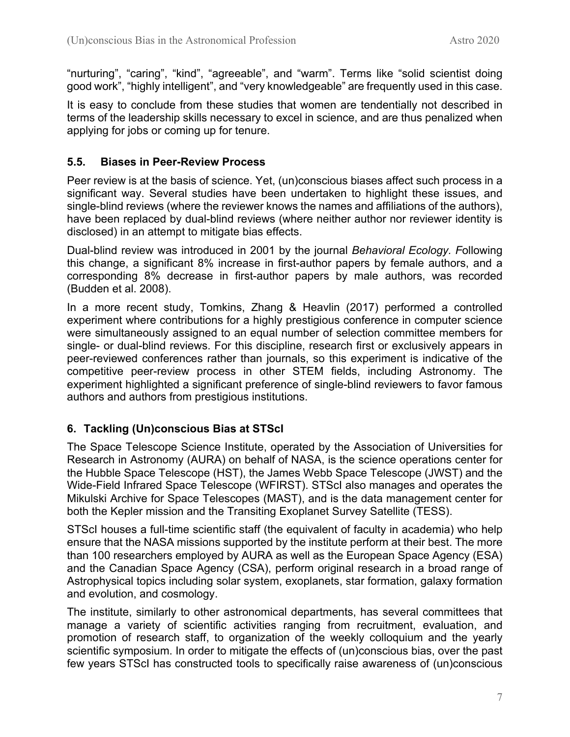"nurturing", "caring", "kind", "agreeable", and "warm". Terms like "solid scientist doing good work", "highly intelligent", and "very knowledgeable" are frequently used in this case.

It is easy to conclude from these studies that women are tendentially not described in terms of the leadership skills necessary to excel in science, and are thus penalized when applying for jobs or coming up for tenure.

## **5.5. Biases in Peer-Review Process**

Peer review is at the basis of science. Yet, (un)conscious biases affect such process in a significant way. Several studies have been undertaken to highlight these issues, and single-blind reviews (where the reviewer knows the names and affiliations of the authors), have been replaced by dual-blind reviews (where neither author nor reviewer identity is disclosed) in an attempt to mitigate bias effects.

Dual-blind review was introduced in 2001 by the journal *Behavioral Ecology. F*ollowing this change, a significant 8% increase in first-author papers by female authors, and a corresponding 8% decrease in first-author papers by male authors, was recorded (Budden et al. 2008).

In a more recent study, Tomkins, Zhang & Heavlin (2017) performed a controlled experiment where contributions for a highly prestigious conference in computer science were simultaneously assigned to an equal number of selection committee members for single- or dual-blind reviews. For this discipline, research first or exclusively appears in peer-reviewed conferences rather than journals, so this experiment is indicative of the competitive peer-review process in other STEM fields, including Astronomy. The experiment highlighted a significant preference of single-blind reviewers to favor famous authors and authors from prestigious institutions.

## **6. Tackling (Un)conscious Bias at STScI**

The Space Telescope Science Institute, operated by the Association of Universities for Research in Astronomy (AURA) on behalf of NASA, is the science operations center for the Hubble Space Telescope (HST), the James Webb Space Telescope (JWST) and the Wide-Field Infrared Space Telescope (WFIRST). STScI also manages and operates the Mikulski Archive for Space Telescopes (MAST), and is the data management center for both the Kepler mission and the Transiting Exoplanet Survey Satellite (TESS).

STScI houses a full-time scientific staff (the equivalent of faculty in academia) who help ensure that the NASA missions supported by the institute perform at their best. The more than 100 researchers employed by AURA as well as the European Space Agency (ESA) and the Canadian Space Agency (CSA), perform original research in a broad range of Astrophysical topics including solar system, exoplanets, star formation, galaxy formation and evolution, and cosmology.

The institute, similarly to other astronomical departments, has several committees that manage a variety of scientific activities ranging from recruitment, evaluation, and promotion of research staff, to organization of the weekly colloquium and the yearly scientific symposium. In order to mitigate the effects of (un)conscious bias, over the past few years STScI has constructed tools to specifically raise awareness of (un)conscious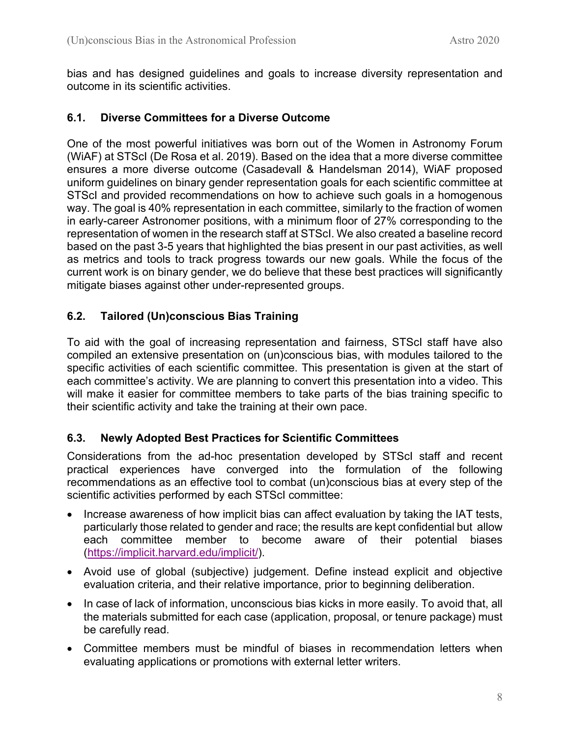bias and has designed guidelines and goals to increase diversity representation and outcome in its scientific activities.

#### **6.1. Diverse Committees for a Diverse Outcome**

One of the most powerful initiatives was born out of the Women in Astronomy Forum (WiAF) at STScI (De Rosa et al. 2019). Based on the idea that a more diverse committee ensures a more diverse outcome (Casadevall & Handelsman 2014), WiAF proposed uniform guidelines on binary gender representation goals for each scientific committee at STScI and provided recommendations on how to achieve such goals in a homogenous way. The goal is 40% representation in each committee, similarly to the fraction of women in early-career Astronomer positions, with a minimum floor of 27% corresponding to the representation of women in the research staff at STScI. We also created a baseline record based on the past 3-5 years that highlighted the bias present in our past activities, as well as metrics and tools to track progress towards our new goals. While the focus of the current work is on binary gender, we do believe that these best practices will significantly mitigate biases against other under-represented groups.

## **6.2. Tailored (Un)conscious Bias Training**

To aid with the goal of increasing representation and fairness, STScI staff have also compiled an extensive presentation on (un)conscious bias, with modules tailored to the specific activities of each scientific committee. This presentation is given at the start of each committee's activity. We are planning to convert this presentation into a video. This will make it easier for committee members to take parts of the bias training specific to their scientific activity and take the training at their own pace.

#### **6.3. Newly Adopted Best Practices for Scientific Committees**

Considerations from the ad-hoc presentation developed by STScI staff and recent practical experiences have converged into the formulation of the following recommendations as an effective tool to combat (un)conscious bias at every step of the scientific activities performed by each STScI committee:

- Increase awareness of how implicit bias can affect evaluation by taking the IAT tests, particularly those related to gender and race; the results are kept confidential but allow each committee member to become aware of their potential biases (https://implicit.harvard.edu/implicit/).
- Avoid use of global (subjective) judgement. Define instead explicit and objective evaluation criteria, and their relative importance, prior to beginning deliberation.
- In case of lack of information, unconscious bias kicks in more easily. To avoid that, all the materials submitted for each case (application, proposal, or tenure package) must be carefully read.
- Committee members must be mindful of biases in recommendation letters when evaluating applications or promotions with external letter writers.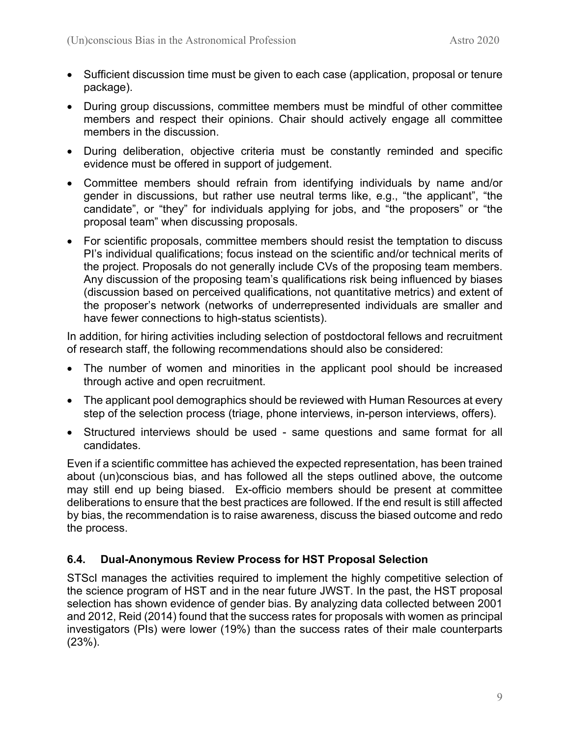- Sufficient discussion time must be given to each case (application, proposal or tenure package).
- During group discussions, committee members must be mindful of other committee members and respect their opinions. Chair should actively engage all committee members in the discussion.
- During deliberation, objective criteria must be constantly reminded and specific evidence must be offered in support of judgement.
- Committee members should refrain from identifying individuals by name and/or gender in discussions, but rather use neutral terms like, e.g., "the applicant", "the candidate", or "they" for individuals applying for jobs, and "the proposers" or "the proposal team" when discussing proposals.
- For scientific proposals, committee members should resist the temptation to discuss PI's individual qualifications; focus instead on the scientific and/or technical merits of the project. Proposals do not generally include CVs of the proposing team members. Any discussion of the proposing team's qualifications risk being influenced by biases (discussion based on perceived qualifications, not quantitative metrics) and extent of the proposer's network (networks of underrepresented individuals are smaller and have fewer connections to high-status scientists).

In addition, for hiring activities including selection of postdoctoral fellows and recruitment of research staff, the following recommendations should also be considered:

- The number of women and minorities in the applicant pool should be increased through active and open recruitment.
- The applicant pool demographics should be reviewed with Human Resources at every step of the selection process (triage, phone interviews, in-person interviews, offers).
- Structured interviews should be used same questions and same format for all candidates.

Even if a scientific committee has achieved the expected representation, has been trained about (un)conscious bias, and has followed all the steps outlined above, the outcome may still end up being biased. Ex-officio members should be present at committee deliberations to ensure that the best practices are followed. If the end result is still affected by bias, the recommendation is to raise awareness, discuss the biased outcome and redo the process.

## **6.4. Dual-Anonymous Review Process for HST Proposal Selection**

STScI manages the activities required to implement the highly competitive selection of the science program of HST and in the near future JWST. In the past, the HST proposal selection has shown evidence of gender bias. By analyzing data collected between 2001 and 2012, Reid (2014) found that the success rates for proposals with women as principal investigators (PIs) were lower (19%) than the success rates of their male counterparts (23%).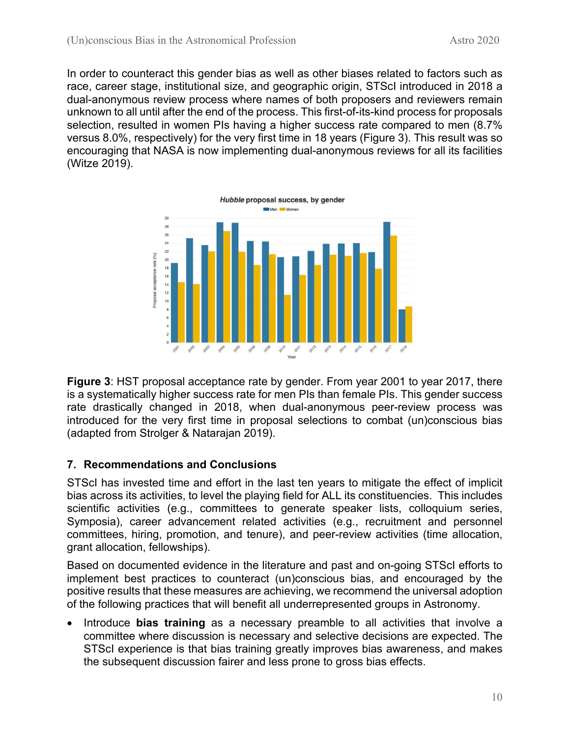In order to counteract this gender bias as well as other biases related to factors such as race, career stage, institutional size, and geographic origin, STScI introduced in 2018 a dual-anonymous review process where names of both proposers and reviewers remain unknown to all until after the end of the process. This first-of-its-kind process for proposals selection, resulted in women PIs having a higher success rate compared to men (8.7% versus 8.0%, respectively) for the very first time in 18 years (Figure 3). This result was so encouraging that NASA is now implementing dual-anonymous reviews for all its facilities (Witze 2019).



**Figure 3**: HST proposal acceptance rate by gender. From year 2001 to year 2017, there is a systematically higher success rate for men PIs than female PIs. This gender success rate drastically changed in 2018, when dual-anonymous peer-review process was introduced for the very first time in proposal selections to combat (un)conscious bias (adapted from Strolger & Natarajan 2019).

## **7. Recommendations and Conclusions**

STScI has invested time and effort in the last ten years to mitigate the effect of implicit bias across its activities, to level the playing field for ALL its constituencies. This includes scientific activities (e.g., committees to generate speaker lists, colloquium series, Symposia), career advancement related activities (e.g., recruitment and personnel committees, hiring, promotion, and tenure), and peer-review activities (time allocation, grant allocation, fellowships).

Based on documented evidence in the literature and past and on-going STScI efforts to implement best practices to counteract (un)conscious bias, and encouraged by the positive results that these measures are achieving, we recommend the universal adoption of the following practices that will benefit all underrepresented groups in Astronomy.

• Introduce **bias training** as a necessary preamble to all activities that involve a committee where discussion is necessary and selective decisions are expected. The STScI experience is that bias training greatly improves bias awareness, and makes the subsequent discussion fairer and less prone to gross bias effects.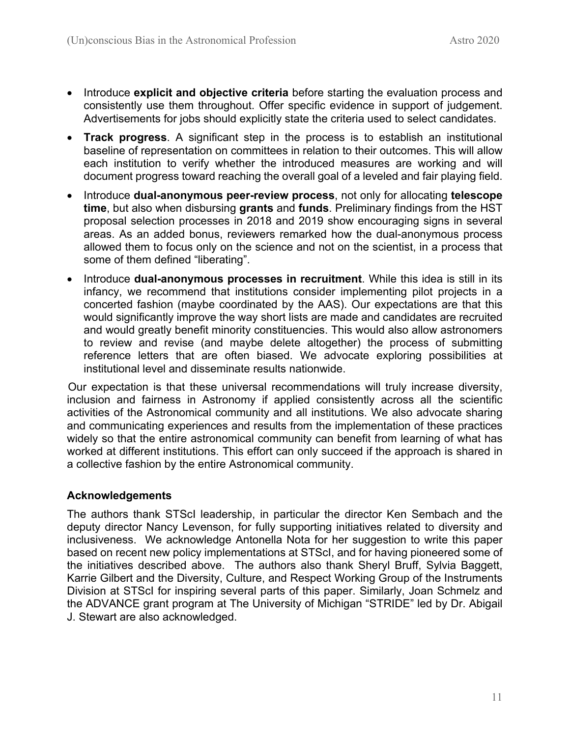- Introduce **explicit and objective criteria** before starting the evaluation process and consistently use them throughout. Offer specific evidence in support of judgement. Advertisements for jobs should explicitly state the criteria used to select candidates.
- **Track progress**. A significant step in the process is to establish an institutional baseline of representation on committees in relation to their outcomes. This will allow each institution to verify whether the introduced measures are working and will document progress toward reaching the overall goal of a leveled and fair playing field.
- Introduce **dual-anonymous peer-review process**, not only for allocating **telescope time**, but also when disbursing **grants** and **funds**. Preliminary findings from the HST proposal selection processes in 2018 and 2019 show encouraging signs in several areas. As an added bonus, reviewers remarked how the dual-anonymous process allowed them to focus only on the science and not on the scientist, in a process that some of them defined "liberating".
- Introduce **dual-anonymous processes in recruitment**. While this idea is still in its infancy, we recommend that institutions consider implementing pilot projects in a concerted fashion (maybe coordinated by the AAS). Our expectations are that this would significantly improve the way short lists are made and candidates are recruited and would greatly benefit minority constituencies. This would also allow astronomers to review and revise (and maybe delete altogether) the process of submitting reference letters that are often biased. We advocate exploring possibilities at institutional level and disseminate results nationwide.

Our expectation is that these universal recommendations will truly increase diversity, inclusion and fairness in Astronomy if applied consistently across all the scientific activities of the Astronomical community and all institutions. We also advocate sharing and communicating experiences and results from the implementation of these practices widely so that the entire astronomical community can benefit from learning of what has worked at different institutions. This effort can only succeed if the approach is shared in a collective fashion by the entire Astronomical community.

## **Acknowledgements**

The authors thank STScI leadership, in particular the director Ken Sembach and the deputy director Nancy Levenson, for fully supporting initiatives related to diversity and inclusiveness. We acknowledge Antonella Nota for her suggestion to write this paper based on recent new policy implementations at STScI, and for having pioneered some of the initiatives described above. The authors also thank Sheryl Bruff, Sylvia Baggett, Karrie Gilbert and the Diversity, Culture, and Respect Working Group of the Instruments Division at STScI for inspiring several parts of this paper. Similarly, Joan Schmelz and the ADVANCE grant program at The University of Michigan "STRIDE" led by Dr. Abigail J. Stewart are also acknowledged.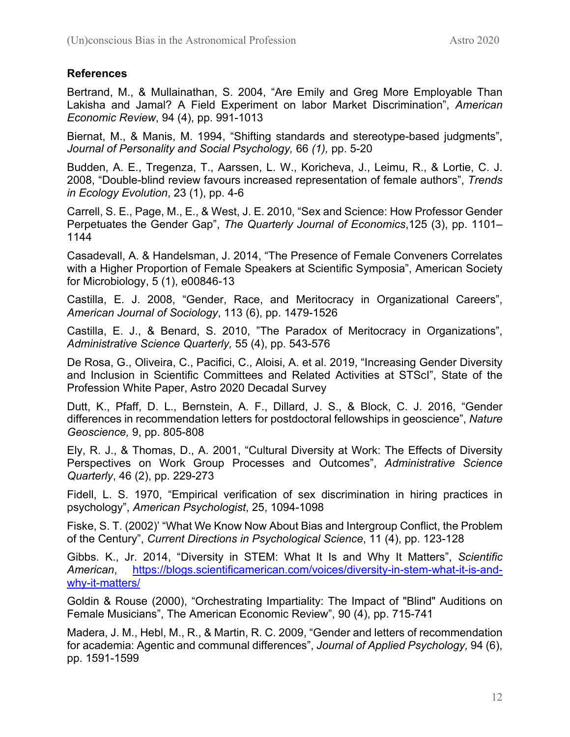## **References**

Bertrand, M., & Mullainathan, S. 2004, "Are Emily and Greg More Employable Than Lakisha and Jamal? A Field Experiment on labor Market Discrimination", *American Economic Review*, 94 (4), pp. 991-1013

Biernat, M., & Manis, M. 1994, "Shifting standards and stereotype-based judgments", *Journal of Personality and Social Psychology,* 66 *(1),* pp. 5-20

Budden, A. E., Tregenza, T., Aarssen, L. W., Koricheva, J., Leimu, R., & Lortie, C. J. 2008, "Double-blind review favours increased representation of female authors", *Trends in Ecology Evolution*, 23 (1), pp. 4-6

Carrell, S. E., Page, M., E., & West, J. E. 2010, "Sex and Science: How Professor Gender Perpetuates the Gender Gap", *The Quarterly Journal of Economics*,125 (3), pp. 1101– 1144

Casadevall, A. & Handelsman, J. 2014, "The Presence of Female Conveners Correlates with a Higher Proportion of Female Speakers at Scientific Symposia", American Society for Microbiology, 5 (1), e00846-13

Castilla, E. J. 2008, "Gender, Race, and Meritocracy in Organizational Careers", *American Journal of Sociology*, 113 (6), pp. 1479-1526

Castilla, E. J., & Benard, S. 2010, "The Paradox of Meritocracy in Organizations", *Administrative Science Quarterly,* 55 (4), pp. 543-576

De Rosa, G., Oliveira, C., Pacifici, C., Aloisi, A. et al. 2019, "Increasing Gender Diversity and Inclusion in Scientific Committees and Related Activities at STScI", State of the Profession White Paper, Astro 2020 Decadal Survey

Dutt, K., Pfaff, D. L., Bernstein, A. F., Dillard, J. S., & Block, C. J. 2016, "Gender differences in recommendation letters for postdoctoral fellowships in geoscience", *Nature Geoscience,* 9, pp. 805-808

Ely, R. J., & Thomas, D., A. 2001, "Cultural Diversity at Work: The Effects of Diversity Perspectives on Work Group Processes and Outcomes", *Administrative Science Quarterly*, 46 (2), pp. 229-273

Fidell, L. S. 1970, "Empirical verification of sex discrimination in hiring practices in psychology", *American Psychologist*, 25, 1094-1098

Fiske, S. T. (2002)' "What We Know Now About Bias and Intergroup Conflict, the Problem of the Century", *Current Directions in Psychological Science*, 11 (4), pp. 123-128

Gibbs. K., Jr. 2014, "Diversity in STEM: What It Is and Why It Matters", *Scientific American*, https://blogs.scientificamerican.com/voices/diversity-in-stem-what-it-is-andwhy-it-matters/

Goldin & Rouse (2000), "Orchestrating Impartiality: The Impact of "Blind" Auditions on Female Musicians", The American Economic Review", 90 (4), pp. 715-741

Madera, J. M., Hebl, M., R., & Martin, R. C. 2009, "Gender and letters of recommendation for academia: Agentic and communal differences", *Journal of Applied Psychology,* 94 (6), pp. 1591-1599